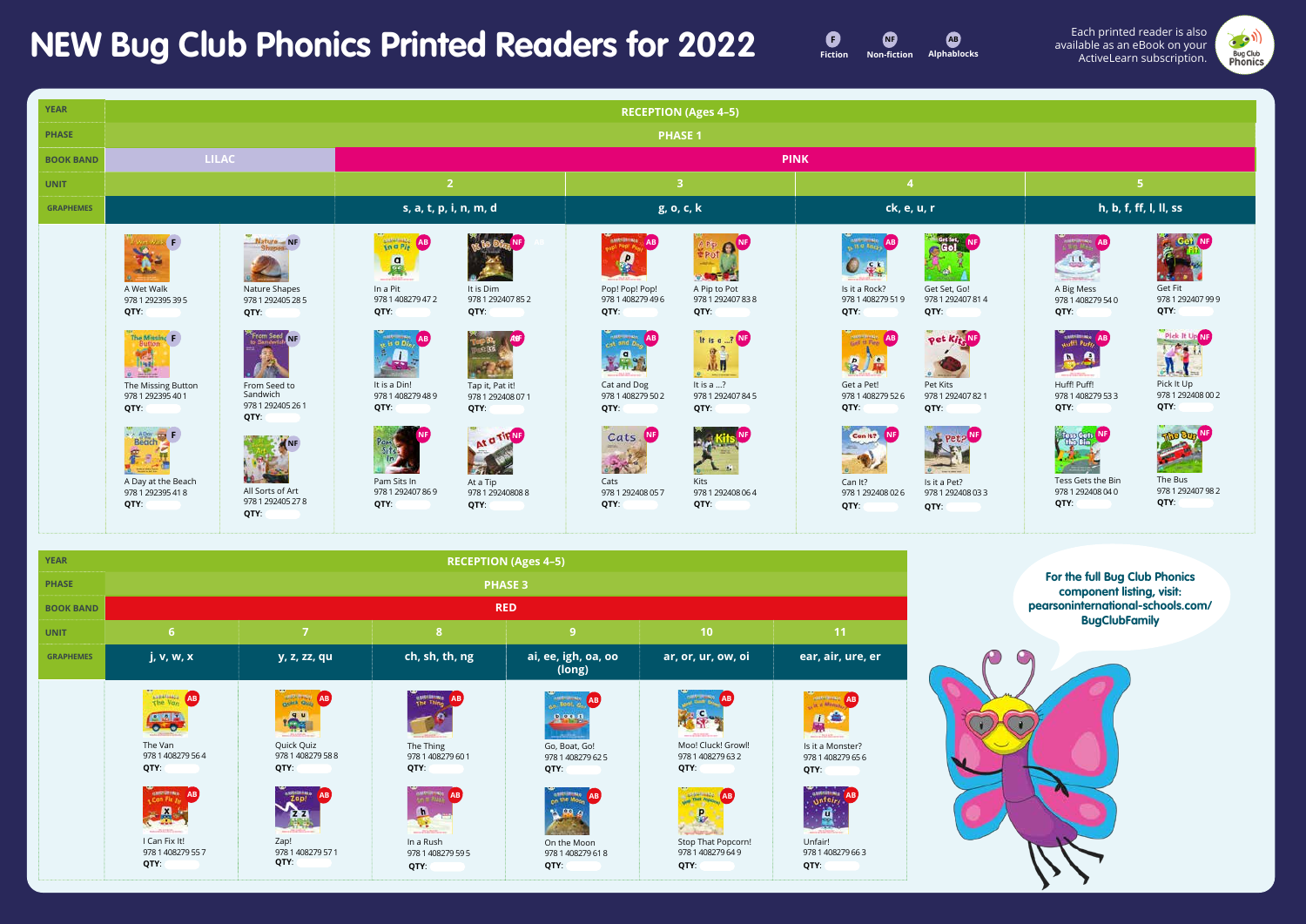## **NEW Bug Club Phonics Printed Readers for 2022**







The Bus 978 1 292407 98 2 **QTY**:



Get Fit 978 1 292407 99 9 **QTY**:



Pick It Up 978 1 292408 00 2 **QTY**:



| <b>YEAR</b>      |                                                                                                                                                                    |                                                                                                                                                                                   |                                                                                                                                                                                                                |                                                                                                                                              | <b>RECEPTION (Ages 4-5)</b>                                                                                                                                                                         |                                                                                                                                              |                                                                                                                                                                                                                                      |                                                                                                                                                |                                                                                                                                                             |                                                                                                                                             |  |  |
|------------------|--------------------------------------------------------------------------------------------------------------------------------------------------------------------|-----------------------------------------------------------------------------------------------------------------------------------------------------------------------------------|----------------------------------------------------------------------------------------------------------------------------------------------------------------------------------------------------------------|----------------------------------------------------------------------------------------------------------------------------------------------|-----------------------------------------------------------------------------------------------------------------------------------------------------------------------------------------------------|----------------------------------------------------------------------------------------------------------------------------------------------|--------------------------------------------------------------------------------------------------------------------------------------------------------------------------------------------------------------------------------------|------------------------------------------------------------------------------------------------------------------------------------------------|-------------------------------------------------------------------------------------------------------------------------------------------------------------|---------------------------------------------------------------------------------------------------------------------------------------------|--|--|
| <b>PHASE</b>     | <b>PHASE 1</b>                                                                                                                                                     |                                                                                                                                                                                   |                                                                                                                                                                                                                |                                                                                                                                              |                                                                                                                                                                                                     |                                                                                                                                              |                                                                                                                                                                                                                                      |                                                                                                                                                |                                                                                                                                                             |                                                                                                                                             |  |  |
| <b>BOOK BAND</b> |                                                                                                                                                                    | <b>LILAC</b>                                                                                                                                                                      | <b>PINK</b>                                                                                                                                                                                                    |                                                                                                                                              |                                                                                                                                                                                                     |                                                                                                                                              |                                                                                                                                                                                                                                      |                                                                                                                                                |                                                                                                                                                             |                                                                                                                                             |  |  |
| <b>UNIT</b>      |                                                                                                                                                                    |                                                                                                                                                                                   | 2 <sup>1</sup>                                                                                                                                                                                                 |                                                                                                                                              | $\overline{3}$                                                                                                                                                                                      |                                                                                                                                              |                                                                                                                                                                                                                                      |                                                                                                                                                | $5\phantom{1}$                                                                                                                                              |                                                                                                                                             |  |  |
| <b>GRAPHEMES</b> |                                                                                                                                                                    |                                                                                                                                                                                   | s, a, t, p, i, n, m, d                                                                                                                                                                                         |                                                                                                                                              | g, o, c, k                                                                                                                                                                                          |                                                                                                                                              | ck, e, u, r                                                                                                                                                                                                                          |                                                                                                                                                | h, b, f, ff, l, ll, ss                                                                                                                                      |                                                                                                                                             |  |  |
|                  | A Wet Walk<br>978 1 292395 39 5<br>QTY:<br>The Missing<br>H.<br>The Missing Button<br>978 1 292395 40 1<br>QTY:<br>A Day at the Beach<br>978 1 292395 41 8<br>QTY: | Nature NF<br>Nature Shapes<br>978 1 292405 28 5<br>QTY:<br>From Send NF<br>From Seed to<br>Sandwich<br>978 1 292405 26 1<br>QTY:<br>All Sorts of Art<br>978 1 292405 27 8<br>QTY: | $\frac{1}{10}$ o $\frac{1}{10}$<br><b>AB</b><br>a<br>In a Pit<br>978 1 408279 47 2<br>QTY:<br>$(1.43 \times 10^{10})$<br>It is a Din!<br>978 1 408279 48 9<br>QTY:<br>Pam Sits In<br>978 1 292407 86 9<br>QTY: | It is Dim<br>978 1 292407 85 2<br>QTY:<br>Tap it, Pat it!<br>978 1 292408 07 1<br>QTY:<br>At a TIPNS<br>At a Tip<br>978 1 29240808 8<br>QTY: | <b>AMRICIANA</b><br><b>AB</b><br>e<br>Pop! Pop! Pop!<br>978 1 408279 49 6<br>QTY:<br>cat and the AB<br>X<br>Cat and Dog<br>978 1 408279 50 2<br>QTY:<br>Cats NF<br>Cats<br>978 1 292408 057<br>QTY: | A Pip to Pot<br>978 1 292407 83 8<br>QTY:<br>It is a ? NF<br>斸<br>It is a ?<br>978 1 292407 845<br>QTY:<br>Kits<br>978 1 292408 06 4<br>QTY: | <b>AB AND REAL AB</b><br>$\mathbf{C}$<br>Is it a Rock?<br>978 1 408279 51 9<br>QTY:<br><b>GREAT PAY</b><br>AB<br>$\mathbf{p}$<br>Get a Pet!<br>978 1 408279 52 6<br>QTY:<br>Can It?<br>I NF.<br>Can It?<br>978 1 292408 02 6<br>QTY: | Get Set, Go!<br>978 1 292407 81 4<br>QTY:<br>oet Kiel NF<br>Pet Kits<br>978 1 292407 82 1<br>QTY:<br>Is it a Pet?<br>978 1 292408 03 3<br>QTY: | A Big Mess<br>978 1 408279 54 0<br>QTY:<br>Waffl Pure Al<br>A<br>Huff! Puff!<br>978 1 408279 53 3<br>QTY:<br>Tess Gets the Bin<br>978 1 292408 04 0<br>QTY: | $\tilde{\boldsymbol{k}}$<br>74.94<br>Get Fit<br>97812<br>QTY:<br>Plck<br>$\mathbf{J}$<br>Pick It<br>97812<br>QTY:<br>The B<br>97812<br>QTY: |  |  |



**For the full Bug Club Phonics component listing, visit: pearsoninternational-schools.com/ BugClubFamily**